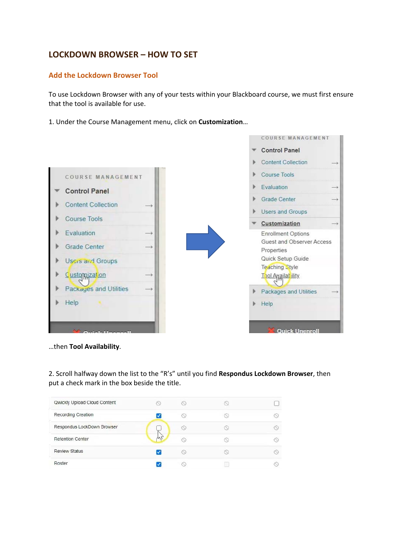# **LOCKDOWN BROWSER – HOW TO SET**

# **Add the Lockdown Browser Tool**

To use Lockdown Browser with any of your tests within your Blackboard course, we must first ensure that the tool is available for use.

1. Under the Course Management menu, click on **Customization**…



…then **Tool Availability**.

2. Scroll halfway down the list to the "R's" until you find **Respondus Lockdown Browser**, then put a check mark in the box beside the title.

| Qwickly Upload Cloud Content |   |  |
|------------------------------|---|--|
| Recording Creation           |   |  |
| Respondus LockDown Browser   |   |  |
| <b>Retention Center</b>      |   |  |
| <b>Review Status</b>         | œ |  |
| Roster                       |   |  |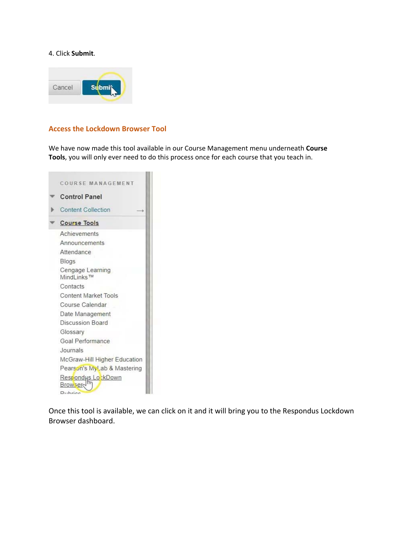### 4. Click **Submit**.



## **Access the Lockdown Browser Tool**

We have now made this tool available in our Course Management menu underneath **Course Tools**, you will only ever need to do this process once for each course that you teach in.



Once this tool is available, we can click on it and it will bring you to the Respondus Lockdown Browser dashboard.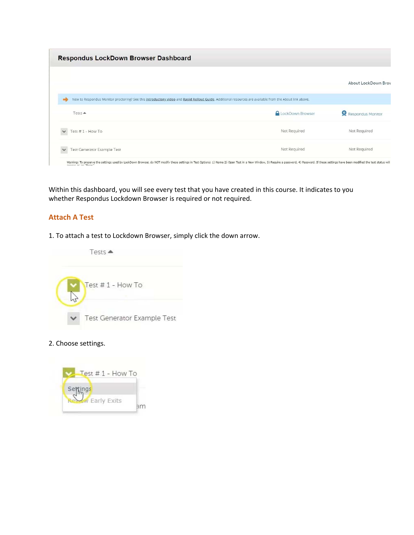| Respondus LockDown Browser Dashboard                                                                                                                          |                                                                                                                                                                                                                                |                     |
|---------------------------------------------------------------------------------------------------------------------------------------------------------------|--------------------------------------------------------------------------------------------------------------------------------------------------------------------------------------------------------------------------------|---------------------|
|                                                                                                                                                               |                                                                                                                                                                                                                                | About LockDown Broy |
| New to Respondus Monitor proctoring? See this introductory video and Rapid Rollout Guide. Additional resources are available from the About link above.<br>۰ł |                                                                                                                                                                                                                                |                     |
| $Tests$ $\triangle$                                                                                                                                           | <b>A</b> LockDown Browser                                                                                                                                                                                                      | Respondus Monitor   |
| Test #1 - How To<br>$\checkmark$                                                                                                                              | Not Required                                                                                                                                                                                                                   | Not Required        |
| Test Generator Example Test<br>$\checkmark$                                                                                                                   | Not Required                                                                                                                                                                                                                   | Not Required        |
|                                                                                                                                                               | Warning: To preserve the settings used by LockDown Browser, do NOT modify these settings in Test Options: 1) Name 2) Open Test in a New Window, 3) Require a password, 4) Password. If these settings have been modified the t |                     |

Within this dashboard, you will see every test that you have created in this course. It indicates to you whether Respondus Lockdown Browser is required or not required.

# **Attach A Test**

1. To attach a test to Lockdown Browser, simply click the down arrow.



2. Choose settings.

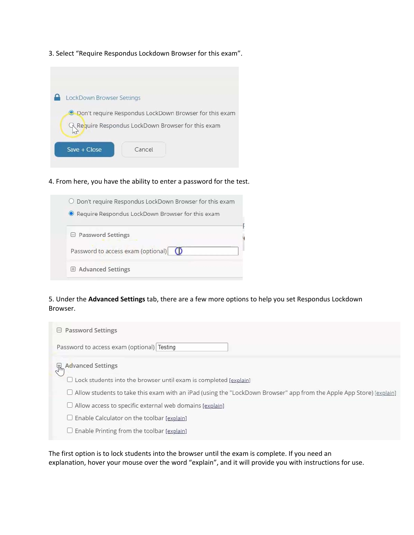3. Select "Require Respondus Lockdown Browser for this exam".

| LockDown Browser Settings |        |                                                                                                                     |
|---------------------------|--------|---------------------------------------------------------------------------------------------------------------------|
|                           |        | <b>O</b> Don't require Respondus LockDown Browser for this exam<br>Require Respondus LockDown Browser for this exam |
| $Save + Close$            | Cancel |                                                                                                                     |

4. From here, you have the ability to enter a password for the test.

| O Don't require Respondus LockDown Browser for this exam |
|----------------------------------------------------------|
| Require Respondus LockDown Browser for this exam         |
| □ Password Settings                                      |
| Password to access exam (optional) $\bigcirc$            |
| <b>E</b> Advanced Settings                               |

5. Under the **Advanced Settings** tab, there are a few more options to help you set Respondus Lockdown Browser.

| <b>Password Settings</b><br>$\Box$                                                                                         |
|----------------------------------------------------------------------------------------------------------------------------|
| Password to access exam (optional) Testing                                                                                 |
| <b>R</b><br>R <sub>n</sub> Advanced Settings                                                                               |
| Lock students into the browser until exam is completed [explain]                                                           |
| $\Box$ Allow students to take this exam with an iPad (using the "LockDown Browser" app from the Apple App Store) [explain] |
| $\Box$ Allow access to specific external web domains [explain]                                                             |
| $\Box$ Enable Calculator on the toolbar [explain]                                                                          |
| Enable Printing from the toolbar [explain]                                                                                 |

The first option is to lock students into the browser until the exam is complete. If you need an explanation, hover your mouse over the word "explain", and it will provide you with instructions for use.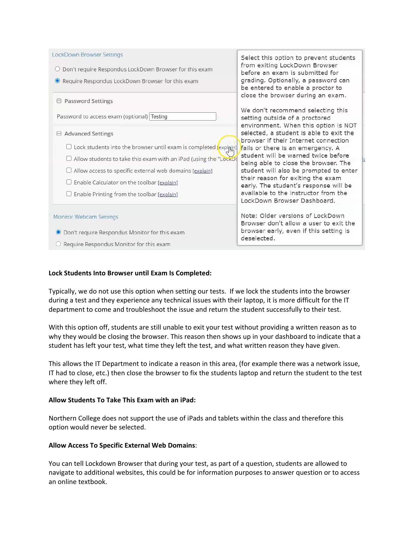| LockDown Browser Settings                                                                   | Select this option to prevent students                                                                      |
|---------------------------------------------------------------------------------------------|-------------------------------------------------------------------------------------------------------------|
| $\bigcirc$ Don't require Respondus LockDown Browser for this exam                           | from exiting LockDown Browser<br>before an exam is submitted for                                            |
| Require Respondus LockDown Browser for this exam                                            | grading. Optionally, a password can<br>be entered to enable a proctor to                                    |
| $\boxminus$ Password Settings                                                               | close the browser during an exam.                                                                           |
| Password to access exam (optional) Testing                                                  | We don't recommend selecting this<br>setting outside of a proctored<br>environment. When this option is NOT |
| $\boxminus$ Advanced Settings                                                               | selected, a student is able to exit the<br>browser if their Internet connection                             |
| $\Box$ Lock students into the browser until exam is completed $\left[\text{explpin}\right]$ | fails or there is an emergency. A                                                                           |
| $\Box$ Allow students to take this exam with an iPad (using the "LockDo                     | student will be warned twice before<br>being able to close the browser. The                                 |
| $\Box$ Allow access to specific external web domains [explain]                              | student will also be prompted to enter                                                                      |
| $\Box$ Enable Calculator on the toolbar [explain]                                           | their reason for exiting the exam<br>early. The student's response will be                                  |
| $\Box$ Enable Printing from the toolbar [explain]                                           | available to the instructor from the<br>LockDown Browser Dashboard.                                         |
| Monitor Webcam Settings                                                                     | Note: Older versions of LockDown<br>Browser don't allow a user to exit the                                  |
| ● Don't require Respondus Monitor for this exam                                             | browser early, even if this setting is<br>deselected.                                                       |
| Require Respondus Monitor for this exam                                                     |                                                                                                             |

# **Lock Students Into Browser until Exam Is Completed:**

Typically, we do not use this option when setting our tests. If we lock the students into the browser during a test and they experience any technical issues with their laptop, it is more difficult for the IT department to come and troubleshoot the issue and return the student successfully to their test.

With this option off, students are still unable to exit your test without providing a written reason as to why they would be closing the browser. This reason then shows up in your dashboard to indicate that a student has left your test, what time they left the test, and what written reason they have given.

This allows the IT Department to indicate a reason in this area, (for example there was a network issue, IT had to close, etc.) then close the browser to fix the students laptop and return the student to the test where they left off.

# **Allow Students To Take This Exam with an iPad:**

Northern College does not support the use of iPads and tablets within the class and therefore this option would never be selected.

#### **Allow Access To Specific External Web Domains**:

You can tell Lockdown Browser that during your test, as part of a question, students are allowed to navigate to additional websites, this could be for information purposes to answer question or to access an online textbook.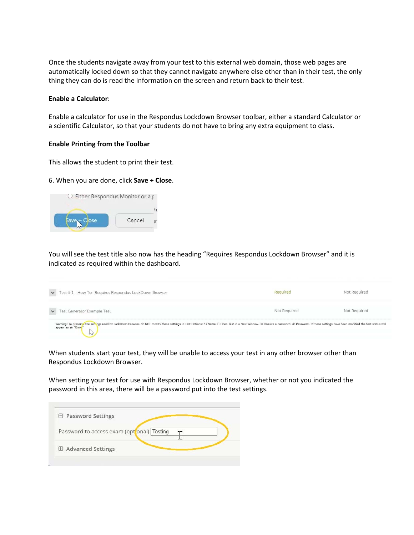Once the students navigate away from your test to this external web domain, those web pages are automatically locked down so that they cannot navigate anywhere else other than in their test, the only thing they can do is read the information on the screen and return back to their test.

#### **Enable a Calculator**:

Enable a calculator for use in the Respondus Lockdown Browser toolbar, either a standard Calculator or a scientific Calculator, so that your students do not have to bring any extra equipment to class.

#### **Enable Printing from the Toolbar**

This allows the student to print their test.

#### 6. When you are done, click **Save + Close**.



You will see the test title also now has the heading "Requires Respondus Lockdown Browser" and it is indicated as required within the dashboard.



When students start your test, they will be unable to access your test in any other browser other than Respondus Lockdown Browser.

When setting your test for use with Respondus Lockdown Browser, whether or not you indicated the password in this area, there will be a password put into the test settings.

| $\Box$ Password Settings                   |  |  |
|--------------------------------------------|--|--|
| Password to access exam (opt onal) Testing |  |  |
| <b>E</b> Advanced Settings                 |  |  |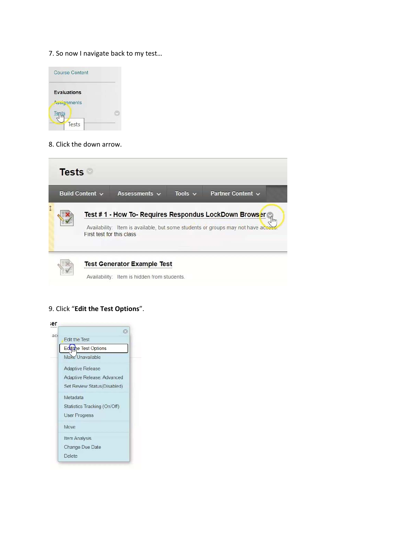7. So now I navigate back to my test…



## 8. Click the down arrow.



# 9. Click "**Edit the Test Options**".